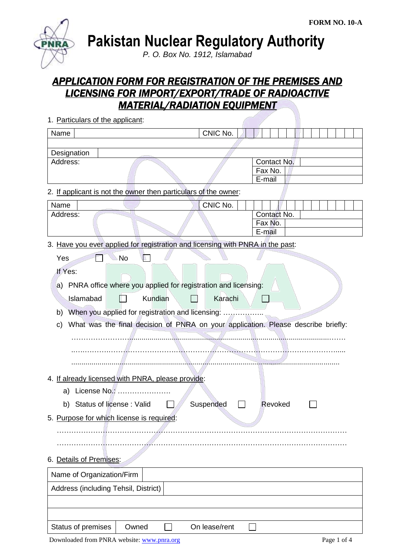

1. Particulars of the applicant:

**Pakistan Nuclear Regulatory Authority**

*P. O. Box No. 1912, Islamabad*

# *APPLICATION FORM FOR REGISTRATION OF THE PREMISES AND LICENSING FOR IMPORT/EXPORT/TRADE OF RADIOACTIVE MATERIAL/RADIATION EQUIPMENT*

| Name                                                                                               | CNIC No.      |                                  |
|----------------------------------------------------------------------------------------------------|---------------|----------------------------------|
| Designation<br>Address:                                                                            |               | Contact No.<br>Fax No.<br>E-mail |
| 2. If applicant is not the owner then particulars of the owner:                                    |               |                                  |
| Name<br>Address:                                                                                   | CNIC No.      | Contact No.<br>Fax No.<br>E-mail |
| 3. Have you ever applied for registration and licensing with PNRA in the past:                     |               |                                  |
| <b>No</b><br>Yes<br>If Yes:<br>PNRA office where you applied for registration and licensing:<br>a) |               |                                  |
| Kundian<br>Islamabad                                                                               | Karachi       |                                  |
| When you applied for registration and licensing:<br>b)                                             |               |                                  |
| What was the final decision of PNRA on your application. Please describe briefly:<br>C)            |               |                                  |
| 4. If already licensed with PNRA, please provide:                                                  |               |                                  |
| License No.:<br>a)                                                                                 |               |                                  |
| Status of license: Valid<br>b)                                                                     | Suspended     | Revoked                          |
| 5. Purpose for which license is required:                                                          |               |                                  |
|                                                                                                    |               |                                  |
| 6. Details of Premises:                                                                            |               |                                  |
| Name of Organization/Firm                                                                          |               |                                  |
| Address (including Tehsil, District)                                                               |               |                                  |
|                                                                                                    |               |                                  |
|                                                                                                    |               |                                  |
| Status of premises<br>Owned                                                                        | On lease/rent |                                  |

Downloaded from PNRA website: [www.pnra.org](http://www.pnra.org/) Page 1 of 4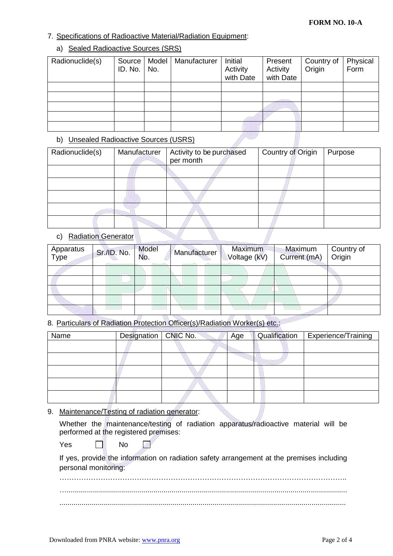### 7. Specifications of Radioactive Material/Radiation Equipment:

## a) Sealed Radioactive Sources (SRS)

| Radionuclide(s) | Source  <br>ID. No. | Model<br>No. | Manufacturer | Initial<br>Activity<br>with Date | Present<br>Activity<br>with Date | Country of<br>Origin | Physical<br>Form |
|-----------------|---------------------|--------------|--------------|----------------------------------|----------------------------------|----------------------|------------------|
|                 |                     |              |              |                                  |                                  |                      |                  |
|                 |                     |              |              |                                  |                                  |                      |                  |
|                 |                     |              |              |                                  |                                  |                      |                  |
|                 |                     |              |              |                                  |                                  |                      |                  |
|                 |                     |              |              |                                  |                                  |                      |                  |

## b) Unsealed Radioactive Sources (USRS)

| Radionuclide(s) | Manufacturer | Activity to be purchased | Country of Origin | Purpose |
|-----------------|--------------|--------------------------|-------------------|---------|
|                 |              | per month                |                   |         |
|                 |              |                          |                   |         |
|                 |              |                          |                   |         |
|                 |              |                          |                   |         |
|                 |              |                          |                   |         |
|                 |              |                          |                   |         |

## c) Radiation Generator

| Apparatus<br>Type | Sr./ID. No. | Model<br>No. |  | Manufacturer |  | <b>Maximum</b><br>Voltage (kV) |  | Maximum<br>Current (mA) | Origin | Country of |
|-------------------|-------------|--------------|--|--------------|--|--------------------------------|--|-------------------------|--------|------------|
|                   |             |              |  |              |  |                                |  |                         |        |            |
|                   |             |              |  |              |  |                                |  |                         |        |            |
|                   |             |              |  |              |  |                                |  |                         |        |            |
|                   |             |              |  |              |  |                                |  |                         |        |            |
|                   |             |              |  |              |  |                                |  |                         |        |            |

8. Particulars of Radiation Protection Officer(s)/Radiation Worker(s) etc.:

| Name | Designation   CNIC No. | Age | Qualification | Experience/Training |
|------|------------------------|-----|---------------|---------------------|
|      |                        |     |               |                     |
|      |                        |     |               |                     |
|      |                        |     |               |                     |
|      |                        |     |               |                     |
|      |                        |     |               |                     |

9. Maintenance/Testing of radiation generator:

|  |                                       |  | Whether the maintenance/testing of radiation apparatus/radioactive material will be |  |  |
|--|---------------------------------------|--|-------------------------------------------------------------------------------------|--|--|
|  | performed at the registered premises: |  |                                                                                     |  |  |

 $Yes \qquad \Box \qquad No$  $\overline{z}$ 

If yes, provide the information on radiation safety arrangement at the premises including personal monitoring:

……………………………………………………………………………………………………….. …........................................................................................................................................... ..............................................................................................................................................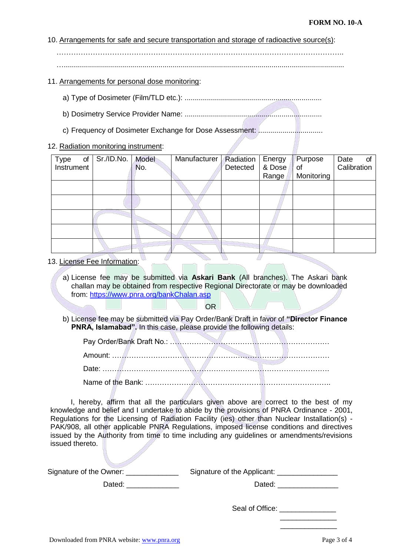#### 10. Arrangements for safe and secure transportation and storage of radioactive source(s):

………………………………………………………………………………………………………..

…...........................................................................................................................................

#### 11. Arrangements for personal dose monitoring:

- a) Type of Dosimeter (Film/TLD etc.): ....................................................................
- b) Dosimetry Service Provider Name: ....................................................................
- c) Frequency of Dosimeter Exchange for Dose Assessment: ................................

#### 12. Radiation monitoring instrument:

| Type<br>of<br>Instrument | Sr./ID.No. | Model<br>No. | Manufacturer   Radiation | Detected | Energy<br>& Dose<br>Range | Purpose<br>of the control<br>Monitoring | Date<br>of<br>Calibration |
|--------------------------|------------|--------------|--------------------------|----------|---------------------------|-----------------------------------------|---------------------------|
|                          |            |              |                          |          |                           |                                         |                           |
|                          |            |              |                          |          |                           |                                         |                           |
|                          |            |              |                          |          |                           |                                         |                           |
|                          |            |              |                          |          |                           |                                         |                           |
|                          |            |              |                          |          |                           |                                         |                           |

- 13. License Fee Information:
	- a) License fee may be submitted via **Askari Bank** (All branches). The Askari bank challan may be obtained from respective Regional Directorate or may be downloaded from:<https://www.pnra.org/bankChalan.asp>

OR

b) License fee may be submitted via Pay Order/Bank Draft in favor of **"Director Finance PNRA, Islamabad".** In this case, please provide the following details:

I, hereby, affirm that all the particulars given above are correct to the best of my knowledge and belief and I undertake to abide by the provisions of PNRA Ordinance - 2001, Regulations for the Licensing of Radiation Facility (ies) other than Nuclear Installation(s) - PAK/908, all other applicable PNRA Regulations, imposed license conditions and directives issued by the Authority from time to time including any guidelines or amendments/revisions issued thereto.

| Signature of the Owner: _ | Signature of the Applicant: ________________ |  |
|---------------------------|----------------------------------------------|--|
| Dated:                    | Dated:                                       |  |
|                           |                                              |  |
|                           | Seal of Office:                              |  |

 $\frac{1}{2}$  , and the set of the set of the set of the set of the set of the set of the set of the set of the set of  $\frac{1}{2}$  ,  $\frac{1}{2}$  ,  $\frac{1}{2}$  ,  $\frac{1}{2}$  ,  $\frac{1}{2}$  ,  $\frac{1}{2}$  ,  $\frac{1}{2}$  ,  $\frac{1}{2}$  ,  $\frac{1}{2}$  ,  $\frac{1}{2}$  ,  $\frac{1}{2}$  ,  $\frac{1}{2}$  ,  $\frac{1}{2}$  ,  $\frac{1}{2}$  ,  $\frac{1}{2}$  ,  $\frac{1}{2}$  ,  $\frac{1}{2}$  ,  $\frac{1}{2}$  ,  $\frac{1$